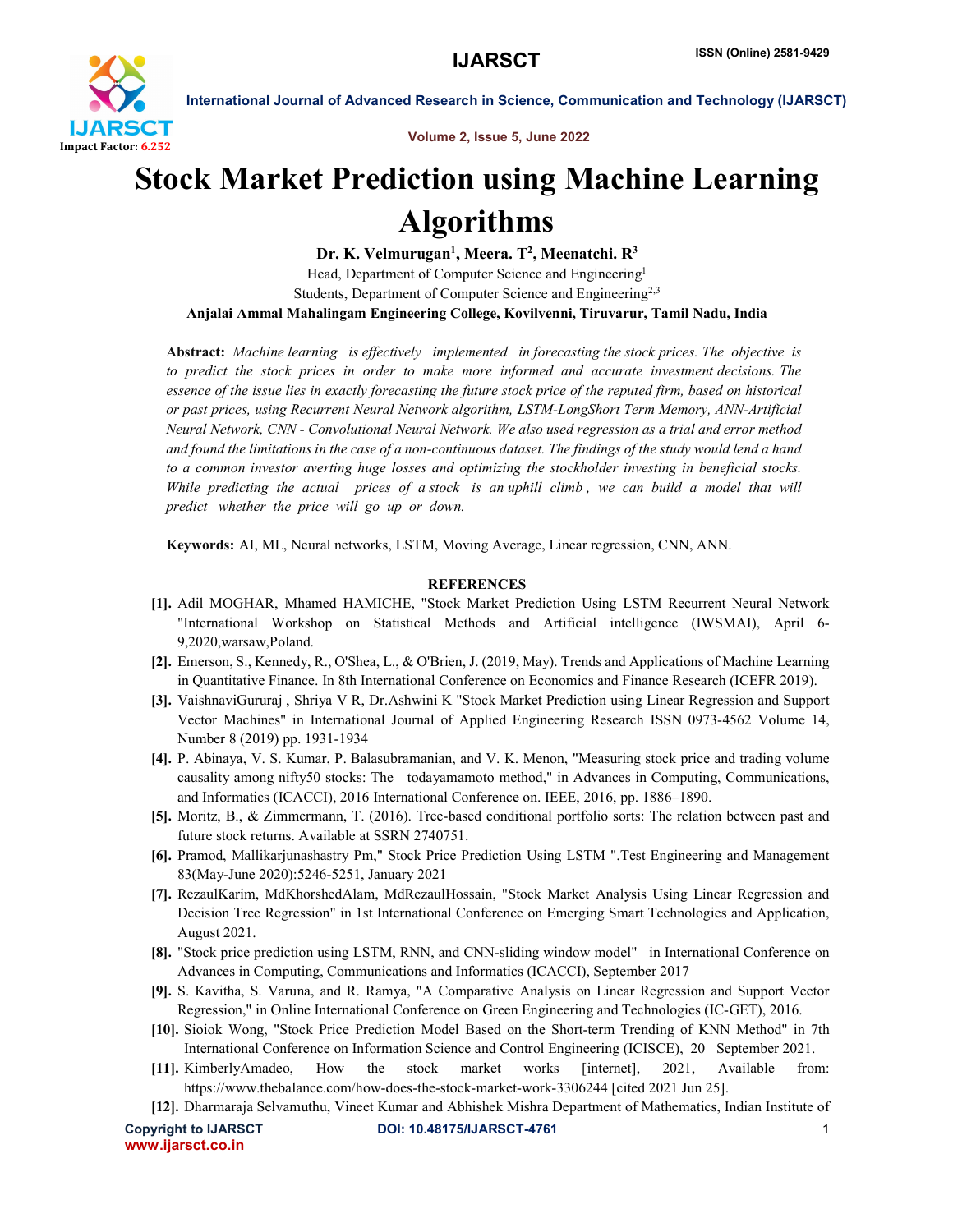

International Journal of Advanced Research in Science, Communication and Technology (IJARSCT)

Volume 2, Issue 5, June 2022

## Stock Market Prediction using Machine Learning Algorithms

Dr. K. Velmurugan<sup>1</sup>, Meera. T<sup>2</sup>, Meenatchi. R<sup>3</sup> Head, Department of Computer Science and Engineering<sup>1</sup> Students, Department of Computer Science and Engineering<sup>2,3</sup> Anjalai Ammal Mahalingam Engineering College, Kovilvenni, Tiruvarur, Tamil Nadu, India

Abstract: *Machine learning is effectively implemented in forecasting the stock prices. The objective is to predict the stock prices in order to make more informed and accurate investment decisions. The essence of the issue lies in exactly forecasting the future stock price of the reputed firm, based on historical or past prices, using Recurrent Neural Network algorithm, LSTM-LongShort Term Memory, ANN-Artificial Neural Network, CNN - Convolutional Neural Network. We also used regression as a trial and error method and found the limitations in the case of a non-continuous dataset. The findings of the study would lend a hand to a common investor averting huge losses and optimizing the stockholder investing in beneficial stocks. While predicting the actual prices of a stock is an uphill climb , we can build a model that will predict whether the price will go up or down.*

Keywords: AI, ML, Neural networks, LSTM, Moving Average, Linear regression, CNN, ANN.

## **REFERENCES**

- [1]. Adil MOGHAR, Mhamed HAMICHE, "Stock Market Prediction Using LSTM Recurrent Neural Network "International Workshop on Statistical Methods and Artificial intelligence (IWSMAI), April 6- 9,2020,warsaw,Poland.
- [2]. Emerson, S., Kennedy, R., O'Shea, L., & O'Brien, J. (2019, May). Trends and Applications of Machine Learning in Quantitative Finance. In 8th International Conference on Economics and Finance Research (ICEFR 2019).
- [3]. VaishnaviGururaj , Shriya V R, Dr.Ashwini K "Stock Market Prediction using Linear Regression and Support Vector Machines" in International Journal of Applied Engineering Research ISSN 0973-4562 Volume 14, Number 8 (2019) pp. 1931-1934
- [4]. P. Abinaya, V. S. Kumar, P. Balasubramanian, and V. K. Menon, "Measuring stock price and trading volume causality among nifty50 stocks: The todayamamoto method," in Advances in Computing, Communications, and Informatics (ICACCI), 2016 International Conference on. IEEE, 2016, pp. 1886–1890.
- [5]. Moritz, B., & Zimmermann, T. (2016). Tree-based conditional portfolio sorts: The relation between past and future stock returns. Available at SSRN 2740751.
- [6]. Pramod, Mallikarjunashastry Pm," Stock Price Prediction Using LSTM ".Test Engineering and Management 83(May-June 2020):5246-5251, January 2021
- [7]. RezaulKarim, MdKhorshedAlam, MdRezaulHossain, "Stock Market Analysis Using Linear Regression and Decision Tree Regression" in 1st International Conference on Emerging Smart Technologies and Application, August 2021.
- [8]. "Stock price prediction using LSTM, RNN, and CNN-sliding window model" in International Conference on Advances in Computing, Communications and Informatics (ICACCI), September 2017
- [9]. S. Kavitha, S. Varuna, and R. Ramya, "A Comparative Analysis on Linear Regression and Support Vector Regression," in Online International Conference on Green Engineering and Technologies (IC-GET), 2016.
- [10]. Sioiok Wong, "Stock Price Prediction Model Based on the Short-term Trending of KNN Method" in 7th International Conference on Information Science and Control Engineering (ICISCE), 20 September 2021.
- [11]. KimberlyAmadeo, How the stock market works [internet], 2021, Available from: https://www.thebalance.com/how-does-the-stock-market-work-3306244 [cited 2021 Jun 25].
- [12]. Dharmaraja Selvamuthu, Vineet Kumar and Abhishek Mishra Department of Mathematics, Indian Institute of

www.ijarsct.co.in